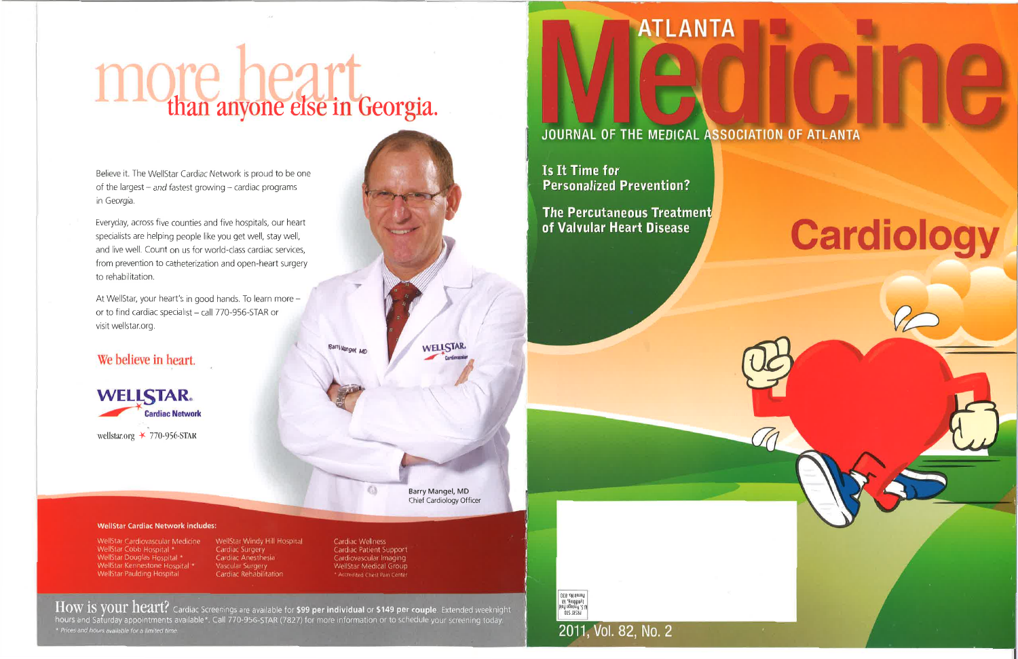# IC than anyone else in Georgia.

Believe it. The WellStar Cardiac Network is proud to be one of the largest  $-$  and fastest growing  $-$  cardiac programs in Georgia.

Everyday, across five counties and five hospitals, our heart specialists are helping people like you get well, stay well, and live well. Count on us for world-class cardiac services, from prevention to catheterization and open-heart surgery to rehabilitation.

At WellStar, your heart's in good hands. To learn more or to find cardiac specialist - call 770-956-STAR or visit wellstar.org.

# We believe in heart.

**WELLSTAR. Cardiac Network** wellstar.org  $\star$  770-956-STAR

Barry Mangel, MD

Barry Mangel, MD Chief Cardiology Officer

**WELLSTAR** 

### **WellStar Cardiac Network includes:**

WellStar Cardiovascular Medicine WellStar Cobb Hospital \* WellStar Douglas Hospital \* WellStar Kennestone Hospital \* WellStar Paulding Hospital

WellStar Windy Hill Hospital Cardiac Surgery Cardiac Anesthesia Vascular Surgery Cardiac Rehabilitation

Cardiac Wellness Cardiac Patient Support Cardiovascular Imaging WellStar Medical Group \* Accredited Chest Pain Center

 $\odot$ 

 $\rm{How\ is\ your\ heart?}$  Cardiac Screenings are available for \$99 per individual or \$149 per couple. Extended weeknight hours and Saturday appointments available\*. Call 770-956-STAR (7827) for more information or to schedule your screening today. \* Prices and hours available for a limited time

## JOURNAL OF THE MEDICAL ASSOCIATION OF ATLANTA

ATLANTA

**Is It Time for Personalized Prevention?** 

**The Percutaneous Treatment** of Valvular Heart Disease



# **Cardiology**